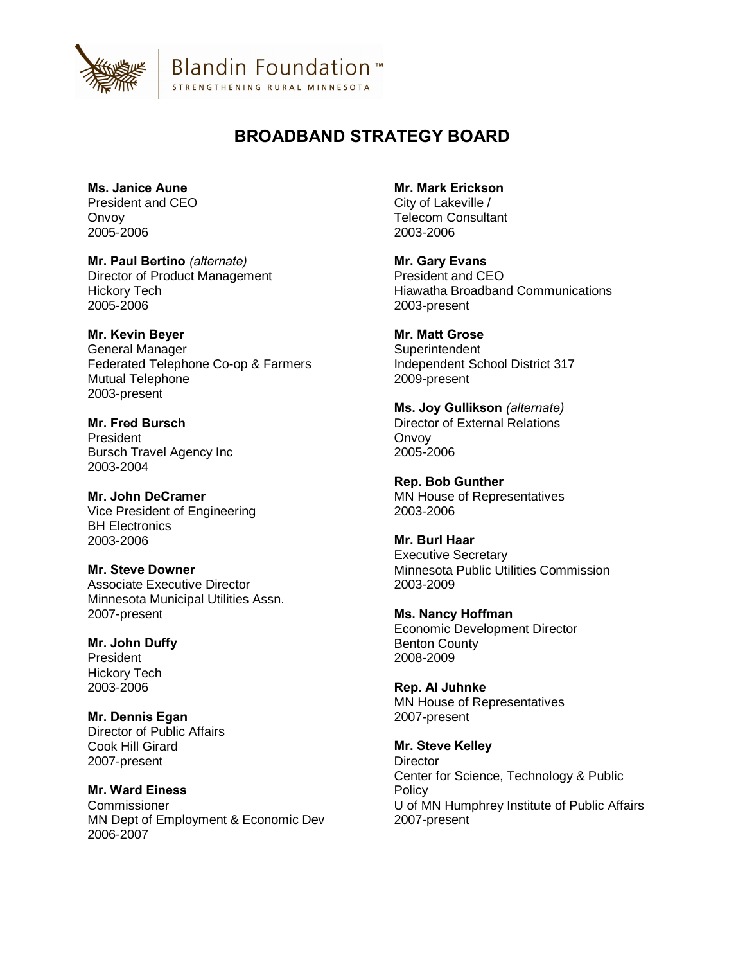

**Blandin Foundation**™ STRENGTHENING RURAL MINNESOTA

## **BROADBAND STRATEGY BOARD**

**Ms. Janice Aune** President and CEO **Onvov** 2005-2006

**Mr. Paul Bertino** *(alternate)* Director of Product Management Hickory Tech 2005-2006

**Mr. Kevin Beyer** General Manager Federated Telephone Co-op & Farmers Mutual Telephone 2003-present

**Mr. Fred Bursch** President Bursch Travel Agency Inc 2003-2004

**Mr. John DeCramer** Vice President of Engineering BH Electronics 2003-2006

**Mr. Steve Downer** Associate Executive Director Minnesota Municipal Utilities Assn. 2007-present

**Mr. John Duffy** President Hickory Tech 2003-2006

**Mr. Dennis Egan** Director of Public Affairs Cook Hill Girard 2007-present

**Mr. Ward Einess Commissioner** MN Dept of Employment & Economic Dev 2006-2007

**Mr. Mark Erickson**

City of Lakeville / Telecom Consultant 2003-2006

**Mr. Gary Evans** President and CEO Hiawatha Broadband Communications 2003-present

**Mr. Matt Grose Superintendent** Independent School District 317 2009-present

**Ms. Joy Gullikson** *(alternate)* Director of External Relations **Onvov** 2005-2006

**Rep. Bob Gunther** MN House of Representatives 2003-2006

**Mr. Burl Haar** Executive Secretary Minnesota Public Utilities Commission 2003-2009

**Ms. Nancy Hoffman** Economic Development Director Benton County 2008-2009

**Rep. Al Juhnke** MN House of Representatives 2007-present

**Mr. Steve Kelley Director** Center for Science, Technology & Public **Policy** U of MN Humphrey Institute of Public Affairs 2007-present